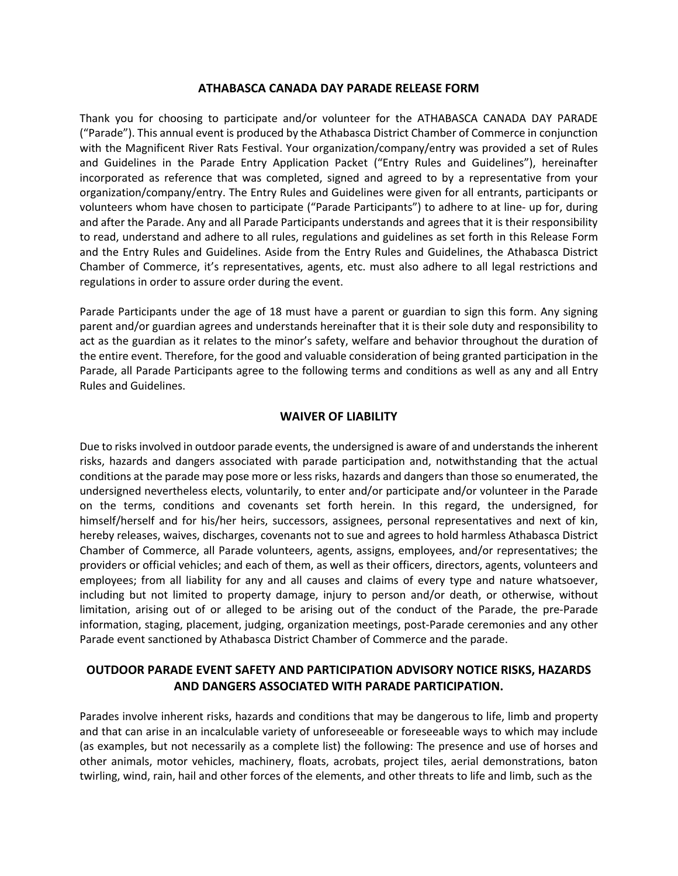#### **ATHABASCA CANADA DAY PARADE RELEASE FORM**

Thank you for choosing to participate and/or volunteer for the ATHABASCA CANADA DAY PARADE ("Parade"). This annual event is produced by the Athabasca District Chamber of Commerce in conjunction with the Magnificent River Rats Festival. Your organization/company/entry was provided a set of Rules and Guidelines in the Parade Entry Application Packet ("Entry Rules and Guidelines"), hereinafter incorporated as reference that was completed, signed and agreed to by a representative from your organization/company/entry. The Entry Rules and Guidelines were given for all entrants, participants or volunteers whom have chosen to participate ("Parade Participants") to adhere to at line- up for, during and after the Parade. Any and all Parade Participants understands and agrees that it is their responsibility to read, understand and adhere to all rules, regulations and guidelines as set forth in this Release Form and the Entry Rules and Guidelines. Aside from the Entry Rules and Guidelines, the Athabasca District Chamber of Commerce, it's representatives, agents, etc. must also adhere to all legal restrictions and regulations in order to assure order during the event.

Parade Participants under the age of 18 must have a parent or guardian to sign this form. Any signing parent and/or guardian agrees and understands hereinafter that it is their sole duty and responsibility to act as the guardian as it relates to the minor's safety, welfare and behavior throughout the duration of the entire event. Therefore, for the good and valuable consideration of being granted participation in the Parade, all Parade Participants agree to the following terms and conditions as well as any and all Entry Rules and Guidelines.

### **WAIVER OF LIABILITY**

Due to risks involved in outdoor parade events, the undersigned is aware of and understands the inherent risks, hazards and dangers associated with parade participation and, notwithstanding that the actual conditions at the parade may pose more or less risks, hazards and dangers than those so enumerated, the undersigned nevertheless elects, voluntarily, to enter and/or participate and/or volunteer in the Parade on the terms, conditions and covenants set forth herein. In this regard, the undersigned, for himself/herself and for his/her heirs, successors, assignees, personal representatives and next of kin, hereby releases, waives, discharges, covenants not to sue and agrees to hold harmless Athabasca District Chamber of Commerce, all Parade volunteers, agents, assigns, employees, and/or representatives; the providers or official vehicles; and each of them, as well as their officers, directors, agents, volunteers and employees; from all liability for any and all causes and claims of every type and nature whatsoever, including but not limited to property damage, injury to person and/or death, or otherwise, without limitation, arising out of or alleged to be arising out of the conduct of the Parade, the pre-Parade information, staging, placement, judging, organization meetings, post-Parade ceremonies and any other Parade event sanctioned by Athabasca District Chamber of Commerce and the parade.

# **OUTDOOR PARADE EVENT SAFETY AND PARTICIPATION ADVISORY NOTICE RISKS, HAZARDS AND DANGERS ASSOCIATED WITH PARADE PARTICIPATION.**

Parades involve inherent risks, hazards and conditions that may be dangerous to life, limb and property and that can arise in an incalculable variety of unforeseeable or foreseeable ways to which may include (as examples, but not necessarily as a complete list) the following: The presence and use of horses and other animals, motor vehicles, machinery, floats, acrobats, project tiles, aerial demonstrations, baton twirling, wind, rain, hail and other forces of the elements, and other threats to life and limb, such as the